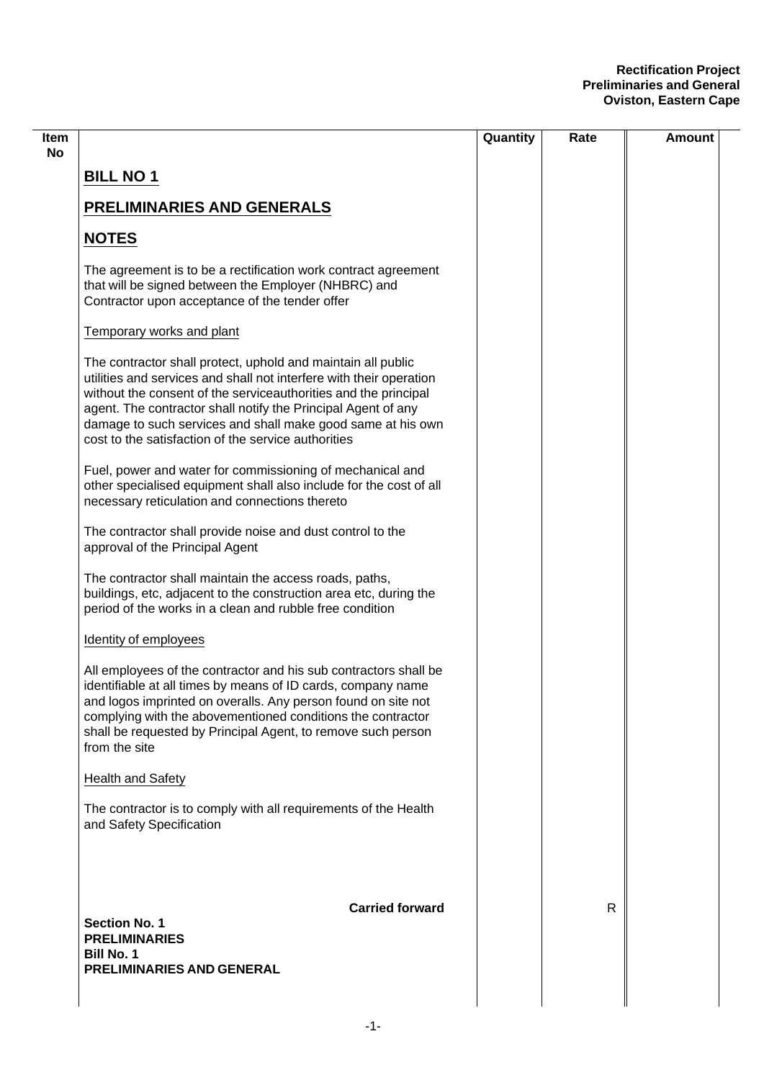## **Rectification Project Preliminaries and General Oviston, Eastern Cape**

|                                                                                                                                                                                                                                                                                                                                                                                               | Quantity | Rate | Amount |
|-----------------------------------------------------------------------------------------------------------------------------------------------------------------------------------------------------------------------------------------------------------------------------------------------------------------------------------------------------------------------------------------------|----------|------|--------|
| <b>BILL NO 1</b>                                                                                                                                                                                                                                                                                                                                                                              |          |      |        |
| <b>PRELIMINARIES AND GENERALS</b>                                                                                                                                                                                                                                                                                                                                                             |          |      |        |
| <b>NOTES</b>                                                                                                                                                                                                                                                                                                                                                                                  |          |      |        |
| The agreement is to be a rectification work contract agreement<br>that will be signed between the Employer (NHBRC) and<br>Contractor upon acceptance of the tender offer                                                                                                                                                                                                                      |          |      |        |
| Temporary works and plant                                                                                                                                                                                                                                                                                                                                                                     |          |      |        |
| The contractor shall protect, uphold and maintain all public<br>utilities and services and shall not interfere with their operation<br>without the consent of the serviceauthorities and the principal<br>agent. The contractor shall notify the Principal Agent of any<br>damage to such services and shall make good same at his own<br>cost to the satisfaction of the service authorities |          |      |        |
| Fuel, power and water for commissioning of mechanical and<br>other specialised equipment shall also include for the cost of all<br>necessary reticulation and connections thereto                                                                                                                                                                                                             |          |      |        |
| The contractor shall provide noise and dust control to the<br>approval of the Principal Agent                                                                                                                                                                                                                                                                                                 |          |      |        |
| The contractor shall maintain the access roads, paths,<br>buildings, etc, adjacent to the construction area etc, during the<br>period of the works in a clean and rubble free condition                                                                                                                                                                                                       |          |      |        |
| Identity of employees                                                                                                                                                                                                                                                                                                                                                                         |          |      |        |
| All employees of the contractor and his sub contractors shall be<br>identifiable at all times by means of ID cards, company name<br>and logos imprinted on overalls. Any person found on site not<br>complying with the abovementioned conditions the contractor<br>shall be requested by Principal Agent, to remove such person<br>from the site                                             |          |      |        |
| <b>Health and Safety</b>                                                                                                                                                                                                                                                                                                                                                                      |          |      |        |
| The contractor is to comply with all requirements of the Health<br>and Safety Specification                                                                                                                                                                                                                                                                                                   |          |      |        |
| <b>Carried forward</b>                                                                                                                                                                                                                                                                                                                                                                        |          | R    |        |
| <b>Section No. 1</b><br><b>PRELIMINARIES</b>                                                                                                                                                                                                                                                                                                                                                  |          |      |        |
| <b>Bill No. 1</b><br>PRELIMINARIES AND GENERAL                                                                                                                                                                                                                                                                                                                                                |          |      |        |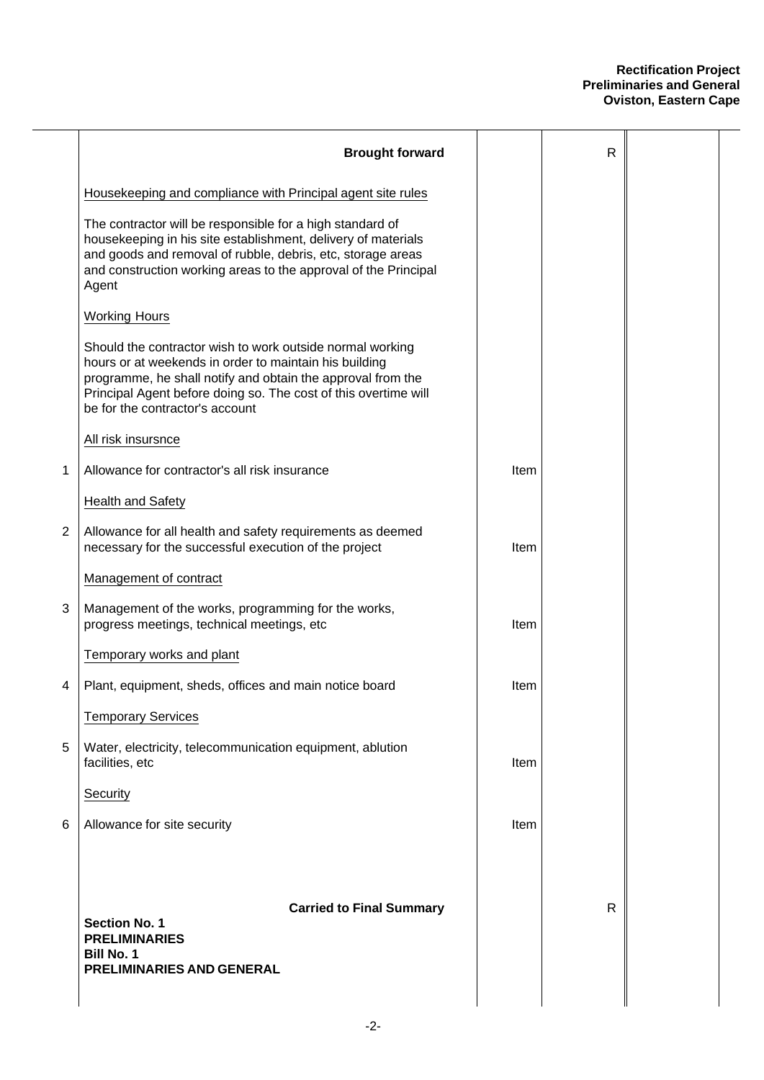## **Rectification Project Preliminaries and General Oviston, Eastern Cape**

| <b>Brought forward</b>                                                                                                                                                                                                                                                                   |             | $\mathsf{R}$ |  |
|------------------------------------------------------------------------------------------------------------------------------------------------------------------------------------------------------------------------------------------------------------------------------------------|-------------|--------------|--|
| Housekeeping and compliance with Principal agent site rules                                                                                                                                                                                                                              |             |              |  |
| The contractor will be responsible for a high standard of<br>housekeeping in his site establishment, delivery of materials<br>and goods and removal of rubble, debris, etc, storage areas<br>and construction working areas to the approval of the Principal<br>Agent                    |             |              |  |
| <b>Working Hours</b>                                                                                                                                                                                                                                                                     |             |              |  |
| Should the contractor wish to work outside normal working<br>hours or at weekends in order to maintain his building<br>programme, he shall notify and obtain the approval from the<br>Principal Agent before doing so. The cost of this overtime will<br>be for the contractor's account |             |              |  |
| All risk insursnce                                                                                                                                                                                                                                                                       |             |              |  |
| Allowance for contractor's all risk insurance                                                                                                                                                                                                                                            | Item        |              |  |
| Health and Safety                                                                                                                                                                                                                                                                        |             |              |  |
| Allowance for all health and safety requirements as deemed<br>necessary for the successful execution of the project                                                                                                                                                                      | Item        |              |  |
| Management of contract                                                                                                                                                                                                                                                                   |             |              |  |
| Management of the works, programming for the works,<br>progress meetings, technical meetings, etc                                                                                                                                                                                        | Item        |              |  |
| Temporary works and plant                                                                                                                                                                                                                                                                |             |              |  |
| Plant, equipment, sheds, offices and main notice board                                                                                                                                                                                                                                   | Item        |              |  |
| <b>Temporary Services</b>                                                                                                                                                                                                                                                                |             |              |  |
| Water, electricity, telecommunication equipment, ablution<br>facilities, etc                                                                                                                                                                                                             | Item        |              |  |
| Security                                                                                                                                                                                                                                                                                 |             |              |  |
| Allowance for site security                                                                                                                                                                                                                                                              | <b>Item</b> |              |  |
| <b>Carried to Final Summary</b><br><b>Section No. 1</b><br><b>PRELIMINARIES</b><br><b>Bill No. 1</b><br>PRELIMINARIES AND GENERAL                                                                                                                                                        |             | $\mathsf{R}$ |  |
|                                                                                                                                                                                                                                                                                          |             |              |  |